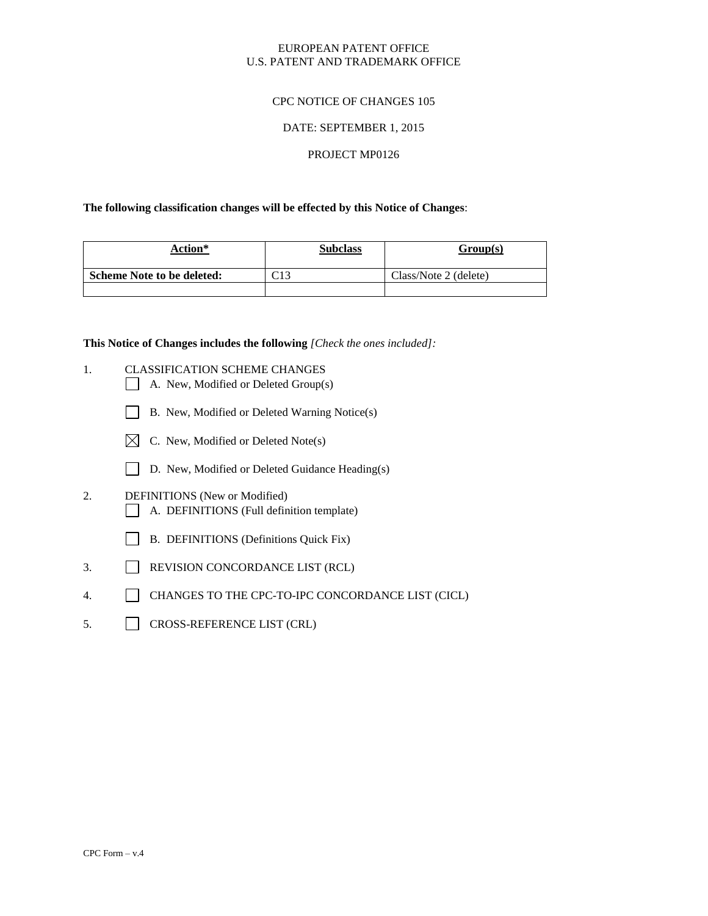### EUROPEAN PATENT OFFICE U.S. PATENT AND TRADEMARK OFFICE

## CPC NOTICE OF CHANGES 105

#### DATE: SEPTEMBER 1, 2015

# PROJECT MP0126

#### **The following classification changes will be effected by this Notice of Changes**:

| Action*                           | <b>Subclass</b> | Group(s)              |
|-----------------------------------|-----------------|-----------------------|
| <b>Scheme Note to be deleted:</b> | $\cap$ 12       | Class/Note 2 (delete) |
|                                   |                 |                       |

**This Notice of Changes includes the following** *[Check the ones included]:*

- 1. CLASSIFICATION SCHEME CHANGES
	- A. New, Modified or Deleted Group(s)
	- B. New, Modified or Deleted Warning Notice(s)
	- $\boxtimes$  C. New, Modified or Deleted Note(s)
	- D. New, Modified or Deleted Guidance Heading(s)
- 2. DEFINITIONS (New or Modified) A. DEFINITIONS (Full definition template)
	- B. DEFINITIONS (Definitions Quick Fix)
- 3. REVISION CONCORDANCE LIST (RCL)
- 4. CHANGES TO THE CPC-TO-IPC CONCORDANCE LIST (CICL)
- 5. CROSS-REFERENCE LIST (CRL)